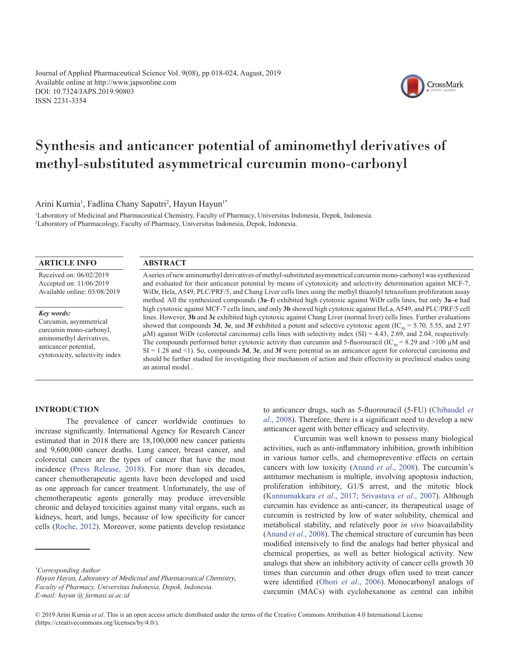Journal of Applied Pharmaceutical Science Vol. 9(08), pp 018-024, August, 2019 Available online at http://www.japsonline.com DOI: 10.7324/JAPS.2019.90803 ISSN 2231-3354



Arini Kurnia<sup>1</sup>, Fadlina Chany Saputri<sup>2</sup>, Hayun Hayun<sup>1\*</sup>

1 Laboratory of Medicinal and Pharmaceutical Chemistry, Faculty of Pharmacy, Universitas Indonesia, Depok, Indonesia. 2 Laboratory of Pharmacology, Faculty of Pharmacy, Universitas Indonesia, Depok, Indonesia.

### **ARTICLE INFO**

Received on: 06/02/2019 Accepted on: 11/06/2019 Available online: 03/08/2019

*Key words:*

Curcumin, asymmetrical curcumin mono-carbonyl, aminomethyl derivatives, anticancer potential, cytotoxicity, selectivity index

## **ABSTRACT**

A series of new aminomethyl derivatives of methyl-substituted asymmetrical curcumin mono-carbonyl was synthesized and evaluated for their anticancer potential by means of cytotoxicity and selectivity determination against MCF-7, WiDr, Hela, A549, PLC/PRF/5, and Chang Liver cells lines using the methyl thiazolyl tetrazolium proliferation assay method. All the synthesized compounds (**3a–f**) exhibited high cytotoxic against WiDr cells lines, but only **3a–e** had high cytotoxic against MCF-7 cells lines, and only **3b** showed high cytotoxic against HeLa, A549, and PLC/PRF/5 cell lines. However, **3b** and **3c** exhibited high cytotoxic against Chang Liver (normal liver) cells lines. Further evaluations showed that compounds **3d**, **3e**, and **3f** exhibited a potent and selective cytotoxic agent (IC<sub>50</sub> = 5.70, 5.55, and 2.97)  $\mu$ M) against WiDr (colorectal carcinoma) cells lines with selectivity index (SI) = 4.43, 2.69, and 2.04, respectively. The compounds performed better cytotoxic activity than curcumin and 5-fluorouracil (IC<sub>50</sub> = 8.29 and >100  $\mu$ M and  $SI = 1.28$  and  $\leq 1$ ). So, compounds **3d**, **3e**, and **3f** were potential as an anticancer agent for colorectal carcinoma and should be further studied for investigating their mechanism of action and their effectivity in preclinical studies using an animal model..

### **INTRODUCTION**

The prevalence of cancer worldwide continues to increase significantly. International Agency for Research Cancer estimated that in 2018 there are 18,100,000 new cancer patients and 9,600,000 cancer deaths. Lung cancer, breast cancer, and colorectal cancer are the types of cancer that have the most incidence ([Press Release, 2018\)](#page-6-0). For more than six decades, cancer chemotherapeutic agents have been developed and used as one approach for cancer treatment. Unfortunately, the use of chemotherapeutic agents generally may produce irreversible chronic and delayed toxicities against many vital organs, such as kidneys, heart, and lungs, because of low specificity for cancer cells [\(Roche, 2012\)](#page-6-0). Moreover, some patients develop resistance

to anticancer drugs, such as 5-fluorouracil (5-FU) ([Chibaudel](#page-5-0) *et al*[., 2008](#page-5-0)). Therefore, there is a significant need to develop a new anticancer agent with better efficacy and selectivity.

CrossMark

Curcumin was well known to possess many biological activities, such as anti-inflammatory inhibition, growth inhibition in various tumor cells, and chemopreventive effects on certain cancers with low toxicity [\(Anand](#page-5-0) *et al*., 2008). The curcumin's antitumor mechanism is multiple, involving apoptosis induction, proliferation inhibitory, G1/S arrest, and the mitotic block [\(Kunnumakkara](#page-6-0) *et al*., 2017; [Srivastava](#page-6-0) *et al*., 2007). Although curcumin has evidence as anti-cancer, its therapeutical usage of curcumin is restricted by low of water solubility, chemical and metabolical stability, and relatively poor *in vivo* bioavailability [\(Anand](#page-5-0) *et al*., 2008). The chemical structure of curcumin has been modified intensively to find the analogs had better physical and chemical properties, as well as better biological activity. New analogs that show an inhibitory activity of cancer cells growth 30 times than curcumin and other drugs often used to treat cancer were identified (Ohori *et al*[., 2006](#page-6-0)). Monocarbonyl analogs of curcumin (MACs) with cyclohexanone as central can inhibit

*<sup>\*</sup> Corresponding Author*

*Faculty of Pharmacy, Universitas Indonesia, Depok, Indonesia. E-mail: hayun @ farmasi.ui.ac.id* Hayun Hayun, Laboratory of Medicinal and Pharmaceutical Chemistry,

<sup>© 2019</sup> Arini Kurnia *et al*. This is an open access article distributed under the terms of the Creative Commons Attribution 4.0 International License (https://creativecommons.org/licenses/by/4.0/).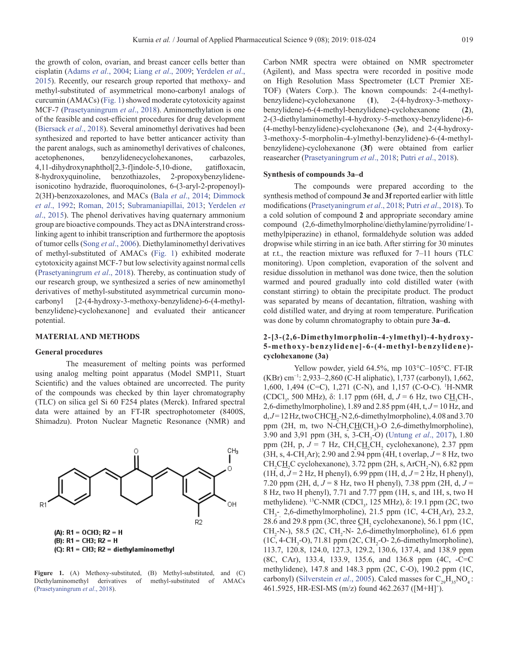the growth of colon, ovarian, and breast cancer cells better than cisplatin [\(Adams](#page-5-0) *et al*., 2004; Liang *et al*[., 2009;](#page-6-0) [Yerdelen](#page-6-0) *et al*., [2015\)](#page-6-0). Recently, our research group reported that methoxy- and methyl-substituted of asymmetrical mono-carbonyl analogs of curcumin (AMACs) (Fig. 1) showed moderate cytotoxicity against MCF-7 ([Prasetyaningrum](#page-6-0) *et al*., 2018). Aminomethylation is one of the feasible and cost-efficient procedures for drug development ([Biersack](#page-5-0) *et al*., 2018). Several aminomethyl derivatives had been synthesized and reported to have better anticancer activity than the parent analogs, such as aminomethyl derivatives of chalcones, acetophenones, benzylidenecyclohexanones, carbazoles, 4,11-dihydroxynaphthol[2,3-f]indole-5,10-dione, gatifloxacin, 8-hydroxyquinoline, benzothiazoles, 2-propoxybenzylideneisonicotino hydrazide, fluoroquinolones, 6-(3-aryl-2-propenoyl)- 2(3H)-benzoxazolones, and MACs (Bala *et al*[., 2014;](#page-5-0) [Dimmock](#page-5-0) *et al*[., 1992](#page-5-0); [Roman, 2015](#page-6-0); [Subramaniapillai, 2013](#page-6-0); [Yerdelen](#page-6-0) *et al*[., 2015](#page-6-0)). The phenol derivatives having quaternary ammonium group are bioactive compounds. They act as DNA interstrand crosslinking agent to inhibit transcription and furthermore the apoptosis of tumor cells (Song *et al*[., 2006\)](#page-6-0). Diethylaminomethyl derivatives of methyl-substituted of AMACs (Fig. 1) exhibited moderate cytotoxicity against MCF-7 but low selectivity against normal cells ([Prasetyaningrum](#page-6-0) *et al*., 2018). Thereby, as continuation study of our research group, we synthesized a series of new aminomethyl derivatives of methyl-substituted asymmetrical curcumin monocarbonyl [2-(4-hydroxy-3-methoxy-benzylidene)-6-(4-methylbenzylidene)-cyclohexanone] and evaluated their anticancer potential.

### **MATERIAL AND METHODS**

#### **General procedures**

The measurement of melting points was performed using analog melting point apparatus (Model SMP11, Stuart Scientific) and the values obtained are uncorrected. The purity of the compounds was checked by thin layer chromatography (TLC) on silica gel Si 60 F254 plates (Merck). Infrared spectral data were attained by an FT-IR spectrophotometer (8400S, Shimadzu). Proton Nuclear Magnetic Resonance (NMR) and



Figure 1. (A) Methoxy-substituted, (B) Methyl-substituted, and (C) Diethylaminomethyl derivatives of methyl-substituted of AMACs ([Prasetyaningrum](#page-6-0) *et al*., 2018).

Carbon NMR spectra were obtained on NMR spectrometer (Agilent), and Mass spectra were recorded in positive mode on High Resolution Mass Spectrometer (LCT Premier XE-TOF) (Waters Corp.). The known compounds: 2-(4-methylbenzylidene)-cyclohexanone (**1**), 2-(4-hydroxy-3-methoxybenzylidene)-6-(4-methyl-benzylidene)-cyclohexanone (**2**), 2-(3-diethylaminomethyl-4-hydroxy-5-methoxy-benzylidene)-6- (4-methyl-benzylidene)-cyclohexanone (**3e**), and 2-(4-hydroxy-3-methoxy-5-morpholin-4-ylmethyl-benzylidene)-6-(4-methylbenzylidene)-cyclohexanone (**3f**) were obtained from earlier reasearcher [\(Prasetyaningrum](#page-6-0) *et al*., 2018; Putri *et al*[., 2018](#page-6-0)).

#### **Synthesis of compounds 3a–d**

The compounds were prepared according to the synthesis method of compound **3e** and **3f** reported earlier with little modifications ([Prasetyaningrum](#page-6-0) *et al*., 2018; Putri *et al*[., 2018](#page-6-0)). To a cold solution of compound **2** and appropriate secondary amine compound (2,6-dimethylmorpholine/diethylamine/pyrrolidine/1 methylpiperazine) in ethanol, formaldehyde solution was added dropwise while stirring in an ice bath. After stirring for 30 minutes at r.t., the reaction mixture was refluxed for 7–11 hours (TLC monitoring). Upon completion, evaporation of the solvent and residue dissolution in methanol was done twice, then the solution warmed and poured gradually into cold distilled water (with constant stirring) to obtain the precipitate product. The product was separated by means of decantation, filtration, washing with cold distilled water, and drying at room temperature. Purification was done by column chromatography to obtain pure **3a–d.**

# **2-[3-(2,6-Dimethylmorpholin-4-ylmethyl)-4-hydroxy-5-methoxy-benzylidene]-6-(4-methyl-benzylidene) cyclohexanone (3a)**

Yellow powder, yield 64.5%, mp 103°C–105°C. FT-IR (KBr) cm−1: 2,933–2,860 (C-H aliphatic), 1,737 (carbonyl), 1,662, 1,600, 1,494 (C=C), 1,271 (C-N), and 1,157 (C-O-C). 1 H-NMR (CDCl<sub>3</sub>, 500 MHz), δ: 1.17 ppm (6H, d, *J* = 6 Hz, two C<u>H</u><sub>3</sub>CH-, 2,6-dimethylmorpholine), 1.89 and 2.85 ppm (4H, t, *J* = 10 Hz, and  $d, J = 12$  Hz, two CHC $H_2$ -N 2,6-dimethylmorpholine), 4.08 and 3.70 ppm (2H, m, two N-CH<sub>2</sub>CH<sub>2</sub>CH<sub>3</sub>)-O 2,6-dimethylmorpholine), 3.90 and 3,91 ppm (3H, s, 3-CH<sub>3</sub>-O) [\(Untung](#page-6-0) *et al.*, 2017), 1.80 ppm (2H, p,  $J = 7$  Hz,  $CH_2CH_2CH_2$  cyclohexanone), 2.37 ppm  $(3H, s, 4\text{-CH}_3\text{Ar})$ ; 2.90 and 2.94 ppm (4H, t overlap,  $J = 8$  Hz, two  $CH_2CH_2C$  cyclohexanone), 3.72 ppm (2H, s, ArCH<sub>2</sub>-N), 6.82 ppm (1H, d,  $J = 2$  Hz, H phenyl), 6.99 ppm (1H, d,  $J = 2$  Hz, H phenyl), 7.20 ppm (2H, d, *J* = 8 Hz, two H phenyl), 7.38 ppm (2H, d, *J* = 8 Hz, two H phenyl), 7.71 and 7.77 ppm (1H, s, and 1H, s, two H methylidene). <sup>13</sup>C-NMR (CDCl<sub>3</sub>, 125 MHz), δ: 19.1 ppm (2C, two  $CH_{3}^-$ , 2,6-dimethylmorpholine), 21.5 ppm (1C, 4-CH<sub>3</sub>Ar), 23.2, 28.6 and 29.8 ppm (3C, three  $\underline{CH}_2$  cyclohexanone), 56.1 ppm (1C,  $CH_2$ -N-), 58.5 (2C, CH<sub>2</sub>-N- 2,6-dimethylmorpholine), 61.6 ppm  $(1C, 4\text{-}CH_3\text{-}O), 71.81 \text{ ppm} (2C, CH_2\text{-}O\text{-}2, 6\text{-dimethylmorpholine}),$ 113.7, 120.8, 124.0, 127.3, 129.2, 130.6, 137.4, and 138.9 ppm (8C, CAr), 133.4, 133.9, 135.6, and 136.8 ppm (4C, -C=C methylidene), 147.8 and 148.3 ppm (2C, C-O), 190.2 ppm (1C, carbonyl) ([Silverstein](#page-6-0) *et al.*, 2005). Calcd masses for  $C_{20}H_{35}NO<sub>4</sub>$ : 461.5925, HR-ESI-MS (m/z) found 462.2637 ([M+H]+ ).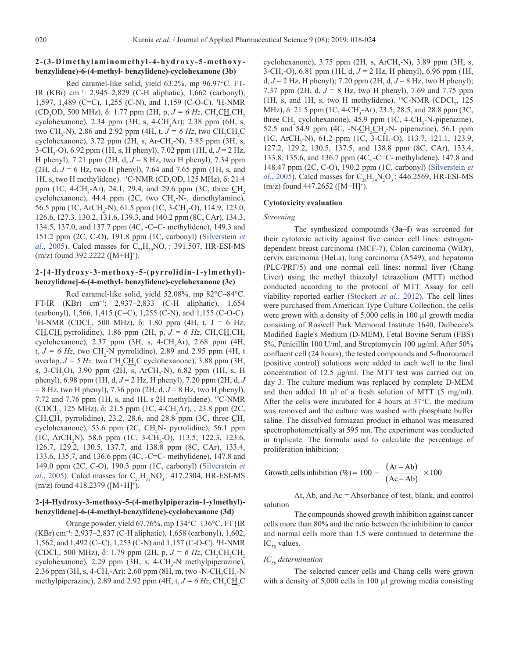## **2-(3-Dimethylaminomethyl-4-hydroxy-5-methoxybenzylidene)-6-(4-methyl- benzylidene)-cyclohexanone (3b)**

Red caramel-like solid, yield 63.2%, mp 96.97°C. FT-IR (KBr) cm−1: 2,945–2,829 (C-H aliphatic), 1,662 (carbonyl), 1,597, 1,489 (C=C), 1,255 (C-N), and 1,159 (C-O-C). 1 H-NMR (CD<sub>3</sub>OD, 500 MHz), δ: 1.77 ppm (2H, p,  $J = 6$  Hz, CH<sub>2</sub>CH<sub>2</sub>CH<sub>2</sub> cyclohexanone), 2.34 ppm (3H, s, 4-CH<sub>3</sub>Ar); 2.38 ppm (6H, s, two CH<sub>3</sub>-N), 2.86 and 2.92 ppm (4H, t,  $J = 6$  Hz, two CH<sub>2</sub>CH<sub>2</sub>C cyclohexanone),  $3.72$  ppm (2H, s, Ar-CH<sub>2</sub>-N),  $3.85$  ppm (3H, s, 3-CH3 -O), 6.92 ppm (1H, s, H phenyl), 7.02 ppm (1H, d, *J* = 2 Hz, H phenyl), 7.21 ppm (2H, d, *J* = 8 Hz, two H phenyl), 7.34 ppm (2H, d,  $J = 6$  Hz, two H phenyl), 7.64 and 7.65 ppm (1H, s, and 1H, s, two H methylidene). <sup>13</sup>C-NMR (CD<sub>3</sub>OD, 125 MHz), δ: 21.4 ppm (1C, 4-CH<sub>3</sub>-Ar), 24.1, 29.4, and 29.6 ppm (3C, three  $\underline{CH}_2$ cyclohexanone),  $44.4$  ppm (2C, two CH<sub>3</sub>-N-, dimethylamine), 56.5 ppm (1C, ArCH<sub>2</sub>-N), 61.5 ppm (1C, 3-CH<sub>3</sub>-O), 114.9, 123.0, 126.6, 127.3. 130.2, 131.6, 139.3, and 140.2 ppm (8C, CAr), 134.3, 134.5, 137.0, and 137.7 ppm (4C, -C=C- methylidene), 149.3 and 151.2 ppm (2C, C-O), 191.8 ppm (1C, carbonyl) ([Silverstein](#page-6-0) *et al.*, 2005). Calcd masses for  $C_{25}H_{29}NO_3$ : 391.507, HR-ESI-MS  $(m/z)$  found 392.2222 ([M+H]<sup>+</sup>).

# **2-[4-Hydroxy-3-methoxy-5-(pyrrolidin-1-ylmethyl) benzylidene]-6-(4-methyl- benzylidene)-cyclohexanone (3c)**

Red caramel-like solid, yield 52.08%, mp 82°C–84°C. FT-IR (KBr) cm−1: 2,937–2,833 (C-H aliphatic), 1,654 (carbonyl), 1,566, 1,415 (C=C), 1,255 (C-N), and 1,155 (C-O-C). <sup>1</sup>H-NMR (CDCl<sub>3</sub>, 500 MHz), δ: 1.80 ppm (4H, t, J = 6 Hz,  $C\underline{H}_2CH_2$  pyrrolidine), 1.86 ppm (2H, p,  $J = 6$  Hz,  $CH_2CH_2CH_2$ cyclohexanone), 2.37 ppm (3H, s, 4-CH<sub>3</sub>Ar), 2.68 ppm (4H, t,  $J = 6$  Hz, two C $\underline{H}_2$ -N pyrrolidine), 2.89 and 2.95 ppm (4H, t overlap,  $J = 5 Hz$ , two  $CH_2CH_2C$  cyclohexanone), 3.88 ppm (3H, s, 3-CH<sub>3</sub>O), 3.90 ppm (2H, s, ArCH<sub>2</sub>-N), 6.82 ppm (1H, s, H phenyl), 6.98 ppm (1H, d, *J* = 2 Hz, H phenyl), 7.20 ppm (2H, d, *J* = 8 Hz, two H phenyl), 7.36 ppm (2H, d, *J* = 8 Hz, two H phenyl), 7.72 and 7.76 ppm (1H, s, and 1H, s 2H methylidene).  $^{13}$ C-NMR (CDCl<sub>3</sub>, 125 MHz), δ: 21.5 ppm (1C, 4-CH<sub>3</sub>Ar), , 23.8 ppm (2C,  $CH_2CH_2$  pyrrolidine), 23.2, 28.6, and 28.8 ppm (3C, three  $CH_2$ cyclohexanone), 53.6 ppm (2C,  $CH_2N$ - pyrrolidine), 56.1 ppm (1C, ArCH<sub>2</sub>N), 58.6 ppm (1C, 3-CH<sub>3</sub>-O), 113.5, 122.3, 123.6, 126.7, 129.2, 130.5, 137.7, and 138.8 ppm (8C, CAr), 133.4, 133.6, 135.7, and 136.6 ppm (4C, -C=C- methylidene), 147.8 and 149.0 ppm (2C, C-O), 190.3 ppm (1C, carbonyl) ([Silverstein](#page-6-0) *et al.*, 2005). Calcd masses for  $C_{27}H_{31}NO_3$ : 417.2304, HR-ESI-MS  $(m/z)$  found 418.2379 ([M+H]<sup>+</sup>).

## **2-[4-Hydroxy-3-methoxy-5-(4-methylpiperazin-1-ylmethyl) benzylidene]-6-(4-methyl-benzylidene)-cyclohexanone (3d)**

Orange powder, yield 67.76%, mp 134°C–136°C. FT{IR (KBr) cm−1: 2,937–2,837 (C-H aliphatic), 1,658 (carbonyl), 1,602, 1,562, and 1,492 (C=C), 1,253 (C-N) and 1,157 (C-O-C). 1 H-NMR (CDCl<sub>3</sub>, 500 MHz), δ: 1.79 ppm (2H, p,  $J = 6$  Hz, CH<sub>2</sub>CH<sub>2</sub>CH<sub>2</sub>  $cyclohexanone$ ), 2.29 ppm (3H, s, 4-CH<sub>3</sub>-N methylpiperazine), 2.36 ppm (3H, s, 4-CH<sub>3</sub>-Ar); 2.60 ppm (8H, m, two -N-C<u>H<sub>2</sub>CH<sub>2</sub>-N</u> methylpiperazine), 2.89 and 2.92 ppm (4H, t,  $J = 6$  Hz, CH<sub>2</sub>CH<sub>2</sub>C

cyclohexanone),  $3.75$  ppm (2H, s, ArCH<sub>2</sub>-N),  $3.89$  ppm (3H, s, 3-CH<sub>3</sub>-O), 6.81 ppm (1H, d, *J* = 2 Hz, H phenyl), 6.96 ppm (1H, d,  $J = 2$  Hz, H phenyl); 7.20 ppm (2H, d,  $J = 8$  Hz, two H phenyl); 7.37 ppm (2H, d, *J* = 8 Hz, two H phenyl), 7.69 and 7.75 ppm (1H, s, and 1H, s, two H methylidene). <sup>13</sup>C-NMR (CDCl<sub>3</sub>, 125 MHz), δ: 21.5 ppm (1C, 4-CH<sub>3</sub>-Ar), 23.5, 28.5, and 28.8 ppm (3C, three  $\text{CH}_2$  cyclohexanone), 45.9 ppm (1C, 4-CH<sub>3</sub>-N-piperazine), 52.5 and 54.9 ppm (4C,  $-N-CH_2CH_2-N$ - piperazine), 56.1 ppm (1C, ArCH<sub>2</sub>-N), 61.2 ppm (1C, 3-CH<sub>3</sub>-O), 113.7, 121.1, 123.9, 127.2, 129.2, 130.5, 137.5, and 138.8 ppm (8C, CAr), 133.4, 133.8, 135.6, and 136.7 ppm (4C, -C=C- methylidene), 147.8 and 148.47 ppm (2C, C-O), 190.2 ppm (1C, carbonyl) ([Silverstein](#page-6-0) *et al.*, 2005). Calcd masses for  $C_{28}H_{34}N_2O_3$ : 446.2569, HR-ESI-MS  $(m/z)$  found 447.2652 ([M+H]<sup>+</sup>).

#### **Cytotoxicity evaluation**

## *Screening*

The synthesized compounds (**3a–f**) was screened for their cytotoxic activity against five cancer cell lines: estrogendependent breast carcinoma (MCF-7), Colon carcinoma (WiDr), cervix carcinoma (HeLa), lung carcinoma (A549), and hepatoma (PLC/PRF/5) and one normal cell lines: normal liver (Chang Liver) using the methyl thiazolyl tetrazolium (MTT) method conducted according to the protocol of MTT Assay for cell viability reported earlier [\(Stockert](#page-6-0) *et al*., 2012). The cell lines were purchased from American Type Culture Collection, the cells were grown with a density of 5,000 cells in 100  $\mu$ l growth media consisting of Roswell Park Memorial Institute 1640, Dulbecco's Modified Eagle's Medium (D-MEM), Fetal Bovine Serum (FBS) 5%, Penicillin 100 U/ml, and Streptomycin 100 µg/ml. After 50% confluent cell (24 hours), the tested compounds and 5-fluorouracil (positive control) solutions were added to each well to the final concentration of 12.5 µg/ml. The MTT test was carried out on day 3. The culture medium was replaced by complete D-MEM and then added 10  $\mu$ l of a fresh solution of MTT (5 mg/ml). After the cells were incubated for 4 hours at 37°C, the medium was removed and the culture was washed with phosphate buffer saline. The dissolved formazan product in ethanol was measured spectrophotometrically at 595 nm. The experiment was conducted in triplicate. The formula used to calculate the percentage of proliferation inhibition:

Growth cells inhibition (
$$
\%
$$
) = 100 -  $\frac{(At - Ab)}{(Ac - Ab)} \times 100$ 

At, Ab, and Ac = Absorbance of test, blank, and control solution

The compounds showed growth inhibition against cancer cells more than 80% and the ratio between the inhibition to cancer and normal cells more than 1.5 were continued to determine the  $IC_{50}$  values.

## *IC<sub>50</sub>* determination

The selected cancer cells and Chang cells were grown with a density of 5,000 cells in 100 µl growing media consisting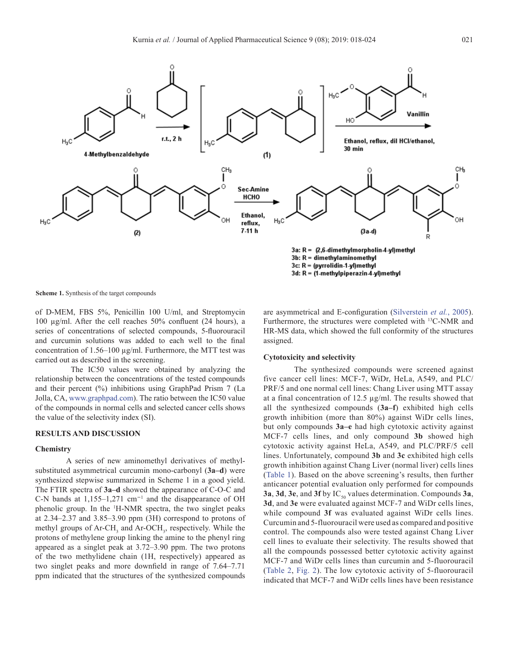

**Scheme 1.** Synthesis of the target compounds

of D-MEM, FBS 5%, Penicillin 100 U/ml, and Streptomycin 100 µg/ml. After the cell reaches 50% confluent (24 hours), a series of concentrations of selected compounds, 5-fluorouracil and curcumin solutions was added to each well to the final concentration of 1.56–100 µg/ml. Furthermore, the MTT test was carried out as described in the screening.

 The IC50 values were obtained by analyzing the relationship between the concentrations of the tested compounds and their percent (%) inhibitions using GraphPad Prism 7 (La Jolla, CA, www.graphpad.com). The ratio between the IC50 value of the compounds in normal cells and selected cancer cells shows the value of the selectivity index (SI).

## **RESULTS AND DISCUSSION**

### **Chemistry**

A series of new aminomethyl derivatives of methylsubstituted asymmetrical curcumin mono-carbonyl (**3a–d**) were synthesized stepwise summarized in Scheme 1 in a good yield. The FTIR spectra of **3a–d** showed the appearance of C-O-C and C-N bands at 1,155–1,271 cm<sup>−</sup><sup>1</sup> and the disappearance of OH phenolic group. In the 1 H-NMR spectra, the two singlet peaks at 2.34–2.37 and 3.85–3.90 ppm (3H) correspond to protons of methyl groups of Ar-CH<sub>3</sub> and Ar-OCH<sub>3</sub>, respectively. While the protons of methylene group linking the amine to the phenyl ring appeared as a singlet peak at 3.72–3.90 ppm. The two protons of the two methylidene chain (1H, respectively) appeared as two singlet peaks and more downfield in range of 7.64–7.71 ppm indicated that the structures of the synthesized compounds

are asymmetrical and E-configuration ([Silverstein](#page-6-0) *et al.*, 2005). Furthermore, the structures were completed with 13C-NMR and HR-MS data, which showed the full conformity of the structures assigned.

## **Cytotoxicity and selectivity**

The synthesized compounds were screened against five cancer cell lines: MCF-7, WiDr, HeLa, A549, and PLC/ PRF/5 and one normal cell lines: Chang Liver using MTT assay at a final concentration of 12.5 µg/ml. The results showed that all the synthesized compounds (**3a–f**) exhibited high cells growth inhibition (more than 80%) against WiDr cells lines, but only compounds **3a–e** had high cytotoxic activity against MCF-7 cells lines, and only compound **3b** showed high cytotoxic activity against HeLa, A549, and PLC/PRF/5 cell lines. Unfortunately, compound **3b** and **3c** exhibited high cells growth inhibition against Chang Liver (normal liver) cells lines [\(Table 1](#page-4-0)). Based on the above screening's results, then further anticancer potential evaluation only performed for compounds **3a**, **3d**, **3e**, and **3f** by IC<sub>50</sub> values determination. Compounds **3a**, **3d**, and **3e** were evaluated against MCF-7 and WiDr cells lines, while compound **3f** was evaluated against WiDr cells lines. Curcumin and 5-fluorouracil were used as compared and positive control. The compounds also were tested against Chang Liver cell lines to evaluate their selectivity. The results showed that all the compounds possessed better cytotoxic activity against MCF-7 and WiDr cells lines than curcumin and 5-fluorouracil [\(Table 2,](#page-4-0) [Fig. 2](#page-5-0)). The low cytotoxic activity of 5-fluorouracil indicated that MCF-7 and WiDr cells lines have been resistance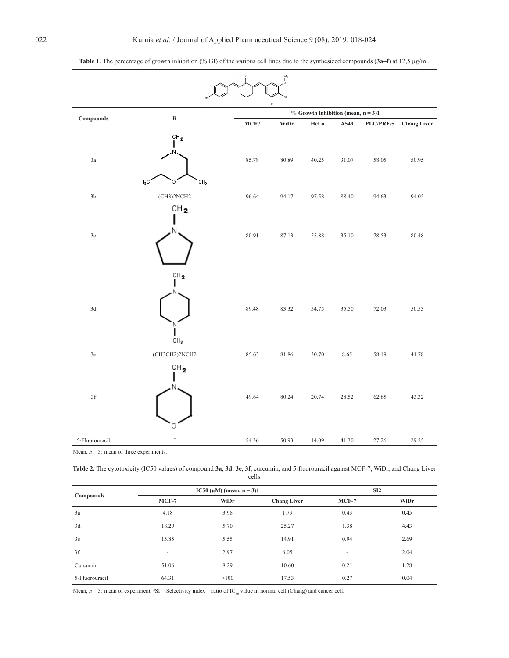| çн <sub>з</sub>          |                                                   |                                       |       |       |       |           |                    |
|--------------------------|---------------------------------------------------|---------------------------------------|-------|-------|-------|-----------|--------------------|
|                          |                                                   | % Growth inhibition (mean, $n = 3$ )1 |       |       |       |           |                    |
| Compounds                | ${\bf R}$                                         | MCF7                                  | WiDr  | HeLa  | A549  | PLC/PRF/5 | <b>Chang Liver</b> |
| 3a                       | CH <sub>2</sub><br>$H_3C$<br>0<br>CH <sub>3</sub> | 85.78                                 | 80.89 | 40.25 | 31.07 | 58.05     | 50.95              |
| $3\mathrm{b}$            | (CH3)2NCH2                                        | 96.64                                 | 94.17 | 97.58 | 88.40 | 94.63     | 94.05              |
| $3\mathrm{c}$            | CH <sub>2</sub><br>N                              | 80.91                                 | 87.13 | 55.88 | 35.10 | 78.53     | 80.48              |
| $3\mathrm{d}$            | $\mathrm{CH}_2$<br>Ν<br>CH <sub>3</sub>           | 89.48                                 | 83.32 | 54.75 | 35.50 | 72.03     | 50.53              |
| $3e$                     | (CH3CH2)2NCH2                                     | 85.63                                 | 81.86 | 30.70 | 8.65  | 58.19     | 41.78              |
| $3\ensuremath{\mbox{f}}$ | $\mathsf{CH}_2$<br>0                              | 49.64                                 | 80.24 | 20.74 | 28.52 | 62.85     | 43.32              |
| 5-Fluorouracil           |                                                   | 54.36                                 | 50.93 | 14.09 | 41.30 | 27.26     | 29.25              |

<span id="page-4-0"></span>

| <b>Table 1.</b> The percentage of growth inhibition (% GI) of the various cell lines due to the synthesized compounds (3a–f) at 12,5 $\mu$ g/ml. |  |  |  |  |
|--------------------------------------------------------------------------------------------------------------------------------------------------|--|--|--|--|
|                                                                                                                                                  |  |  |  |  |

<sup>1</sup>Mean,  $n = 3$ : mean of three experiments.

**Table 2.** The cytotoxicity (IC50 values) of compound **3a**, **3d**, **3e**, **3f**, curcumin, and 5-fluorouracil against MCF-7, WiDr, and Chang Liver cells

|                |                          | IC50 ( $\mu$ M) (mean, n = 3)1 | SI2                |                          |      |
|----------------|--------------------------|--------------------------------|--------------------|--------------------------|------|
| Compounds      | $MCF-7$                  | WiDr                           | <b>Chang Liver</b> | $MCF-7$                  | WiDr |
| 3a             | 4.18                     | 3.98                           | 1.79               | 0.43                     | 0.45 |
| 3d             | 18.29                    | 5.70                           | 25.27              | 1.38                     | 4.43 |
| 3e             | 15.85                    | 5.55                           | 14.91              | 0.94                     | 2.69 |
| 3f             | $\overline{\phantom{a}}$ | 2.97                           | 6.05               | $\overline{\phantom{a}}$ | 2.04 |
| Curcumin       | 51.06                    | 8.29                           | 10.60              | 0.21                     | 1.28 |
| 5-Fluorouracil | 64.31                    | >100                           | 17.53              | 0.27                     | 0.04 |

 $Mean, n = 3$ : mean of experiment. <sup>2</sup>SI = Selectivity index = ratio of IC<sub>50</sub> value in normal cell (Chang) and cancer cell.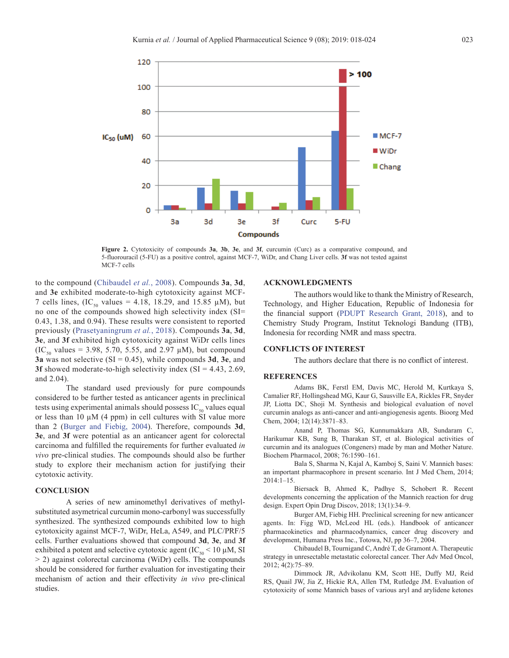<span id="page-5-0"></span>

**Figure 2.** Cytotoxicity of compounds **3a**, **3b**, **3e**, and **3f**, curcumin (Curc) as a comparative compound, and 5-fluorouracil (5-FU) as a positive control, against MCF-7, WiDr, and Chang Liver cells. **3f** was not tested against MCF-7 cells

to the compound (Chibaudel *et al.*, 2008). Compounds **3a**, **3d**, and **3e** exhibited moderate-to-high cytotoxicity against MCF-7 cells lines,  $(IC_{50}$  values = 4.18, 18.29, and 15.85  $\mu$ M), but no one of the compounds showed high selectivity index (SI= 0.43, 1.38, and 0.94). These results were consistent to reported previously ([Prasetyaningrum](#page-6-0) *et al.*, 2018). Compounds **3a**, **3d**, **3e**, and **3f** exhibited high cytotoxicity against WiDr cells lines  $(IC_{50}$  values = 3.98, 5.70, 5.55, and 2.97  $\mu$ M), but compound **3a** was not selective (SI = 0.45), while compounds **3d**, **3e**, and **3f** showed moderate-to-high selectivity index (SI = 4.43, 2.69, and 2.04).

The standard used previously for pure compounds considered to be further tested as anticancer agents in preclinical tests using experimental animals should possess  $IC_{50}$  values equal or less than 10  $\mu$ M (4 ppm) in cell cultures with SI value more than 2 [\(Burger and Fiebig, 2004\)](#page-6-0). Therefore, compounds **3d**, **3e**, and **3f** were potential as an anticancer agent for colorectal carcinoma and fulfilled the requirements for further evaluated *in vivo* pre-clinical studies. The compounds should also be further study to explore their mechanism action for justifying their cytotoxic activity.

## **CONCLUSION**

A series of new aminomethyl derivatives of methylsubstituted asymetrical curcumin mono-carbonyl was successfully synthesized. The synthesized compounds exhibited low to high cytotoxicity against MCF-7, WiDr, HeLa, A549, and PLC/PRF/5 cells. Further evaluations showed that compound **3d**, **3e**, and **3f** exhibited a potent and selective cytotoxic agent ( $IC_{\rm so}$  < 10 µM, SI > 2) against colorectal carcinoma (WiDr) cells. The compounds should be considered for further evaluation for investigating their mechanism of action and their effectivity *in vivo* pre-clinical studies.

### **ACKNOWLEDGMENTS**

The authors would like to thank the Ministry of Research, Technology, and Higher Education, Republic of Indonesia for the financial support ([PDUPT Research Grant, 2018\)](#page-6-0), and to Chemistry Study Program, Institut Teknologi Bandung (ITB), Indonesia for recording NMR and mass spectra.

## **CONFLICTS OF INTEREST**

The authors declare that there is no conflict of interest.

### **REFERENCES**

Adams BK, Ferstl EM, Davis MC, Herold M, Kurtkaya S, Camalier RF, Hollingshead MG, Kaur G, Sausville EA, Rickles FR, Snyder JP, Liotta DC, Shoji M. Synthesis and biological evaluation of novel curcumin analogs as anti-cancer and anti-angiogenesis agents. Bioorg Med Chem, 2004; 12(14):3871–83.

Anand P, Thomas SG, Kunnumakkara AB, Sundaram C, Harikumar KB, Sung B, Tharakan ST, et al. Biological activities of curcumin and its analogues (Congeners) made by man and Mother Nature. Biochem Pharmacol, 2008; 76:1590–161.

Bala S, Sharma N, Kajal A, Kamboj S, Saini V. Mannich bases: an important pharmacophore in present scenario. Int J Med Chem, 2014; 2014:1–15.

Biersack B, Ahmed K, Padhye S, Schobert R. Recent developments concerning the application of the Mannich reaction for drug design. Expert Opin Drug Discov, 2018; 13(1):34–9.

Burger AM, Fiebig HH. Preclinical screening for new anticancer agents. In: Figg WD, McLeod HL (eds.). Handbook of anticancer pharmacokinetics and pharmacodynamics, cancer drug discovery and development, Humana Press Inc., Totowa, NJ, pp 36–7, 2004.

Chibaudel B, Tournigand C, André T, de Gramont A. Therapeutic strategy in unresectable metastatic colorectal cancer. Ther Adv Med Oncol, 2012; 4(2):75–89.

Dimmock JR, Advikolanu KM, Scott HE, Duffy MJ, Reid RS, Quail JW, Jia Z, Hickie RA, Allen TM, Rutledge JM. Evaluation of cytotoxicity of some Mannich bases of various aryl and arylidene ketones